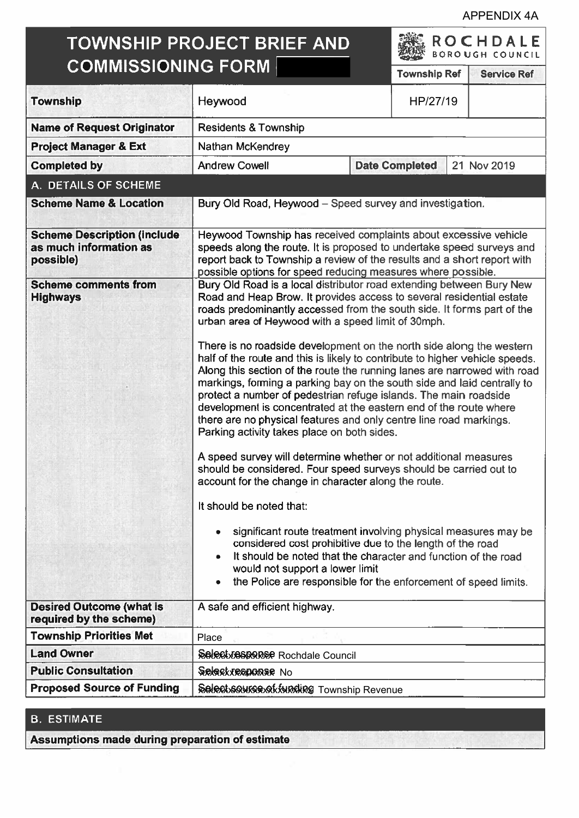APPENDIX 4A

# TOWNSHIP PROJECT BRIEF AND COMMISSIONING FORM

ROCH DALE BORO UGH COUNCIL

|                                                                           |                                                                                                                                                                                                                                                                                                                                                                                                                                                                                                                                                                                                                                                                                                                                                                                                                                                                                                                                                                                                                                                                                                                                                                                                                                                                                                                                 |                       | <b>DONO OUR COURCIL</b> |  |
|---------------------------------------------------------------------------|---------------------------------------------------------------------------------------------------------------------------------------------------------------------------------------------------------------------------------------------------------------------------------------------------------------------------------------------------------------------------------------------------------------------------------------------------------------------------------------------------------------------------------------------------------------------------------------------------------------------------------------------------------------------------------------------------------------------------------------------------------------------------------------------------------------------------------------------------------------------------------------------------------------------------------------------------------------------------------------------------------------------------------------------------------------------------------------------------------------------------------------------------------------------------------------------------------------------------------------------------------------------------------------------------------------------------------|-----------------------|-------------------------|--|
| <b>COMMISSIONING FORM</b>                                                 |                                                                                                                                                                                                                                                                                                                                                                                                                                                                                                                                                                                                                                                                                                                                                                                                                                                                                                                                                                                                                                                                                                                                                                                                                                                                                                                                 | <b>Township Ref</b>   | <b>Service Ref</b>      |  |
| <b>Township</b>                                                           | Heywood                                                                                                                                                                                                                                                                                                                                                                                                                                                                                                                                                                                                                                                                                                                                                                                                                                                                                                                                                                                                                                                                                                                                                                                                                                                                                                                         | HP/27/19              |                         |  |
| <b>Name of Request Originator</b>                                         | <b>Residents &amp; Township</b>                                                                                                                                                                                                                                                                                                                                                                                                                                                                                                                                                                                                                                                                                                                                                                                                                                                                                                                                                                                                                                                                                                                                                                                                                                                                                                 |                       |                         |  |
| <b>Project Manager &amp; Ext</b>                                          | Nathan McKendrey                                                                                                                                                                                                                                                                                                                                                                                                                                                                                                                                                                                                                                                                                                                                                                                                                                                                                                                                                                                                                                                                                                                                                                                                                                                                                                                |                       |                         |  |
| <b>Completed by</b>                                                       | <b>Andrew Cowell</b>                                                                                                                                                                                                                                                                                                                                                                                                                                                                                                                                                                                                                                                                                                                                                                                                                                                                                                                                                                                                                                                                                                                                                                                                                                                                                                            | <b>Date Completed</b> | 21 Nov 2019             |  |
| A. DETAILS OF SCHEME                                                      |                                                                                                                                                                                                                                                                                                                                                                                                                                                                                                                                                                                                                                                                                                                                                                                                                                                                                                                                                                                                                                                                                                                                                                                                                                                                                                                                 |                       |                         |  |
| <b>Scheme Name &amp; Location</b>                                         | Bury Old Road, Heywood – Speed survey and investigation.                                                                                                                                                                                                                                                                                                                                                                                                                                                                                                                                                                                                                                                                                                                                                                                                                                                                                                                                                                                                                                                                                                                                                                                                                                                                        |                       |                         |  |
| <b>Scheme Description (include</b><br>as much information as<br>possible) | Heywood Township has received complaints about excessive vehicle<br>speeds along the route. It is proposed to undertake speed surveys and<br>report back to Township a review of the results and a short report with<br>possible options for speed reducing measures where possible.                                                                                                                                                                                                                                                                                                                                                                                                                                                                                                                                                                                                                                                                                                                                                                                                                                                                                                                                                                                                                                            |                       |                         |  |
| <b>Scheme comments from</b><br><b>Highways</b>                            | Bury Old Road is a local distributor road extending between Bury New<br>Road and Heap Brow. It provides access to several residential estate<br>roads predominantly accessed from the south side. It forms part of the<br>urban area of Heywood with a speed limit of 30mph.<br>There is no roadside development on the north side along the western<br>half of the route and this is likely to contribute to higher vehicle speeds.<br>Along this section of the route the running lanes are narrowed with road<br>markings, forming a parking bay on the south side and laid centrally to<br>protect a number of pedestrian refuge islands. The main roadside<br>development is concentrated at the eastern end of the route where<br>there are no physical features and only centre line road markings.<br>Parking activity takes place on both sides.<br>A speed survey will determine whether or not additional measures<br>should be considered. Four speed surveys should be carried out to<br>account for the change in character along the route.<br>It should be noted that:<br>significant route treatment involving physical measures may be<br>۰<br>considered cost prohibitive due to the length of the road<br>It should be noted that the character and function of the road<br>would not support a lower limit |                       |                         |  |
| <b>Desired Outcome (what is</b>                                           | the Police are responsible for the enforcement of speed limits.<br>A safe and efficient highway.                                                                                                                                                                                                                                                                                                                                                                                                                                                                                                                                                                                                                                                                                                                                                                                                                                                                                                                                                                                                                                                                                                                                                                                                                                |                       |                         |  |
| required by the scheme)                                                   |                                                                                                                                                                                                                                                                                                                                                                                                                                                                                                                                                                                                                                                                                                                                                                                                                                                                                                                                                                                                                                                                                                                                                                                                                                                                                                                                 |                       |                         |  |
| <b>Township Priorities Met</b><br><b>Land Owner</b>                       | Place                                                                                                                                                                                                                                                                                                                                                                                                                                                                                                                                                                                                                                                                                                                                                                                                                                                                                                                                                                                                                                                                                                                                                                                                                                                                                                                           |                       |                         |  |
| <b>Public Consultation</b>                                                | <b>Sciectvesponse</b> Rochdale Council                                                                                                                                                                                                                                                                                                                                                                                                                                                                                                                                                                                                                                                                                                                                                                                                                                                                                                                                                                                                                                                                                                                                                                                                                                                                                          |                       |                         |  |
| <b>Proposed Source of Funding</b>                                         | Select response No<br>Select squres of funding Township Revenue                                                                                                                                                                                                                                                                                                                                                                                                                                                                                                                                                                                                                                                                                                                                                                                                                                                                                                                                                                                                                                                                                                                                                                                                                                                                 |                       |                         |  |
|                                                                           |                                                                                                                                                                                                                                                                                                                                                                                                                                                                                                                                                                                                                                                                                                                                                                                                                                                                                                                                                                                                                                                                                                                                                                                                                                                                                                                                 |                       |                         |  |

## B. ESTIMATE

Assumptions made during preparation of estimate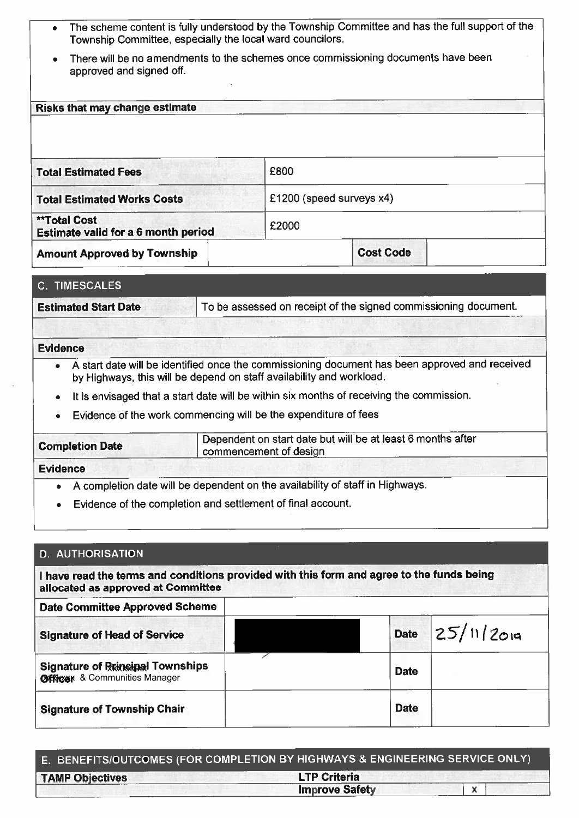- The scheme content is fully understood by the Township Committee and has the full suppor<sup>t</sup> of the Township Committee, especially the local ward councilors.
- There will be no amendments to the schemes once commissioning documents have been approved and signed off.

Risks that may change estimate

| <b>Total Estimated Fees</b>                                       | £800                     |
|-------------------------------------------------------------------|--------------------------|
| <b>Total Estimated Works Costs</b>                                | £1200 (speed surveys x4) |
| <b>**Total Cost</b><br><b>Estimate valid for a 6 month period</b> | £2000                    |
| <b>Amount Approved by Township</b>                                | <b>Cost Code</b>         |

#### C. TIMESCALES

**Estimated Start Date** 

To be assessed on receipt of the signed commissioning document.

#### Evidence

- . A start date will be identified once the commissioning document has been approved and received by Highways, this will be depend on staff availability and workload.
- It is envisaged that <sup>a</sup> start date will be within six months of receiving the commission.
- Evidence of the work commencing will be the expenditure of fees

| <b>Completion Date</b> | Dependent on start date but will be at least 6 months after<br>commencement of design |  |
|------------------------|---------------------------------------------------------------------------------------|--|
|                        |                                                                                       |  |

### Evidence

L

- • $\bullet$   $\;\;$  A completion date will be dependent on the availability of staff in Highways.
- .Evidence of the completion and settlement of final account.

#### D. AUTHORISATION

 have read the terms and conditions provided with this form and agree to the funds being allocated as approved at Committee

| <b>Date Committee Approved Scheme</b>                                           |             |                   |
|---------------------------------------------------------------------------------|-------------|-------------------|
| <b>Signature of Head of Service</b>                                             |             | Date $25/11/2019$ |
| <b>Signature of Rringinal Townships</b><br><b>Officer</b> & Communities Manager | <b>Date</b> |                   |
| <b>Signature of Township Chair</b>                                              | <b>Date</b> |                   |

| E. BENEFITS/OUTCOMES (FOR COMPLETION BY HIGHWAYS & ENGINEERING SERVICE ONLY) |                       |  |
|------------------------------------------------------------------------------|-----------------------|--|
| <b>TAMP Objectives</b>                                                       | <b>LTP Criteria</b>   |  |
|                                                                              | <b>Improve Safety</b> |  |